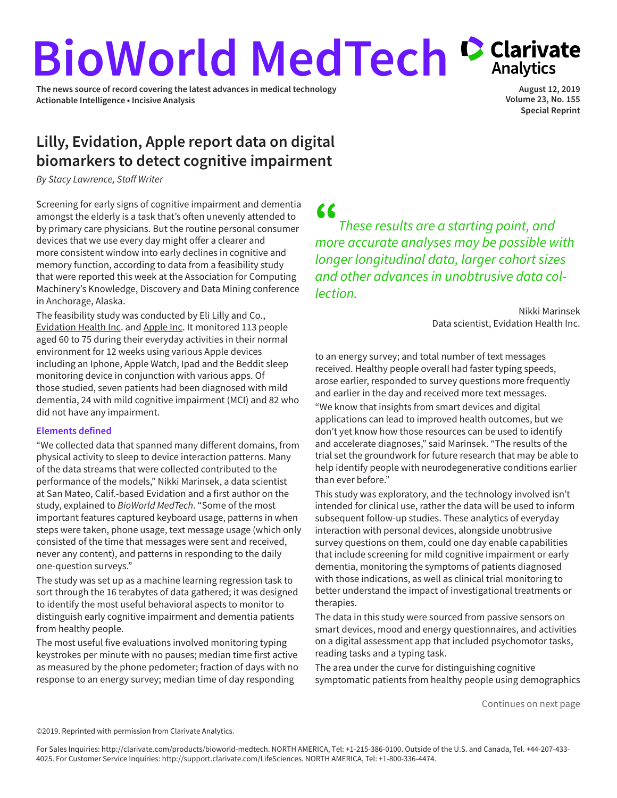# <span id="page-0-0"></span>**BioWorld MedTech Carivate**

**The news source of record covering the latest advances in medical technology Actionable Intelligence • Incisive Analysis**

**August 12, 2019 Volume 23, No. 155 Special Reprint**

# **Lilly, Evidation, Apple report data on digital biomarkers to detect cognitive impairment**

*By Stacy Lawrence, Staff Writer*

Screening for early signs of cognitive impairment and dementia amongst the elderly is a task that's often unevenly attended to by primary care physicians. But the routine personal consumer devices that we use every day might offer a clearer and more consistent window into early declines in cognitive and memory function, according to data from a feasibility study that were reported this week at the Association for Computing Machinery's Knowledge, Discovery and Data Mining conference in Anchorage, Alaska.

The feasibility study was conducted by [Eli Lilly and Co.](https://www.cortellis.com/intelligence/qsearch/Eli Lilly and Co), [Evidation Health Inc.](https://www.cortellis.com/intelligence/qsearch/Evidation Health Inc) and [Apple Inc](https://www.cortellis.com/intelligence/qsearch/Apple Inc). It monitored 113 people aged 60 to 75 during their everyday activities in their normal environment for 12 weeks using various Apple devices including an Iphone, Apple Watch, Ipad and the Beddit sleep monitoring device in conjunction with various apps. Of those studied, seven patients had been diagnosed with mild dementia, 24 with mild cognitive impairment (MCI) and 82 who did not have any impairment.

## **Elements defined**

"We collected data that spanned many different domains, from physical activity to sleep to device interaction patterns. Many of the data streams that were collected contributed to the performance of the models," Nikki Marinsek, a data scientist at San Mateo, Calif.-based Evidation and a first author on the study, explained to *BioWorld MedTech*. "Some of the most important features captured keyboard usage, patterns in when steps were taken, phone usage, text message usage (which only consisted of the time that messages were sent and received, never any content), and patterns in responding to the daily one-question surveys."

The study was set up as a machine learning regression task to sort through the 16 terabytes of data gathered; it was designed to identify the most useful behavioral aspects to monitor to distinguish early cognitive impairment and dementia patients from healthy people.

The most useful five evaluations involved monitoring typing keystrokes per minute with no pauses; median time first active as measured by the phone pedometer; fraction of days with no response to an energy survey; median time of day responding

" *These results are a starting point, and more accurate analyses may be possible with longer longitudinal data, larger cohort sizes and other advances in unobtrusive data collection.*

> Nikki Marinsek Data scientist, Evidation Health Inc.

to an energy survey; and total number of text messages received. Healthy people overall had faster typing speeds, arose earlier, responded to survey questions more frequently and earlier in the day and received more text messages. "We know that insights from smart devices and digital applications can lead to improved health outcomes, but we don't yet know how those resources can be used to identify and accelerate diagnoses," said Marinsek. "The results of the trial set the groundwork for future research that may be able to help identify people with neurodegenerative conditions earlier than ever before."

This study was exploratory, and the technology involved isn't intended for clinical use, rather the data will be used to inform subsequent follow-up studies. These analytics of everyday interaction with personal devices, alongside unobtrusive survey questions on them, could one day enable capabilities that include screening for mild cognitive impairment or early dementia, monitoring the symptoms of patients diagnosed with those indications, as well as clinical trial monitoring to better understand the impact of investigational treatments or therapies.

The data in this study were sourced from passive sensors on smart devices, mood and energy questionnaires, and activities on a digital assessment app that included psychomotor tasks, reading tasks and a typing task.

The area under the curve for distinguishing cognitive symptomatic patients from healthy people using demographics

[Continues on next page](#page-1-0) 

©2019. Reprinted with permission from Clarivate Analytics.

For Sales Inquiries: http://clarivate.com/products/bioworld-medtech. NORTH AMERICA, Tel: +1-215-386-0100. Outside of the U.S. and Canada, Tel. +44-207-433- 4025. For Customer Service Inquiries: http://support.clarivate.com/LifeSciences. NORTH AMERICA, Tel: +1-800-336-4474.